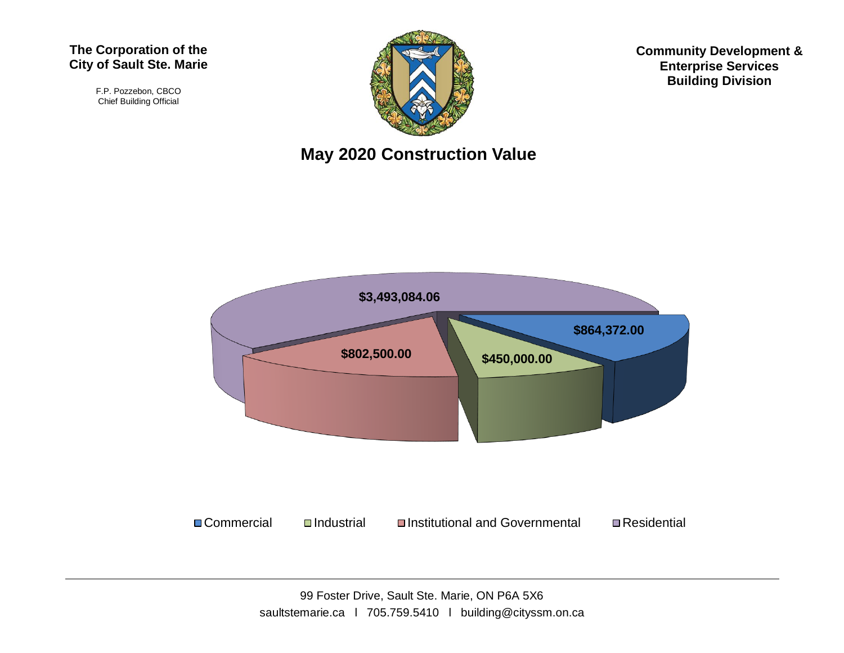## **The Corporation of the City of Sault Ste. Marie**

F.P. Pozzebon, CBCO Chief Building Official



**May 2020 Construction Value**



**Community Development & Enterprise Services Building Division**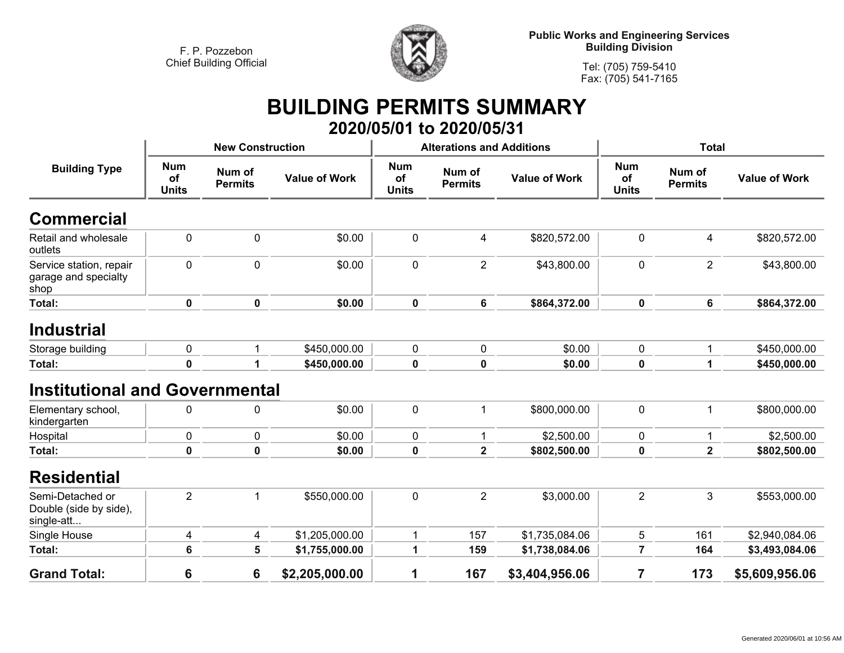

**Tel: (705) 759-5410 Fax: (705) 541-7165**

## **BUILDING PERMITS SUMMARY 2020/05/01 to 2020/05/31**

| <b>Building Type</b>                                     | <b>New Construction</b>          |                          |                      |                                  | <b>Alterations and Additions</b> |                      | <b>Total</b>                     |                          |                      |
|----------------------------------------------------------|----------------------------------|--------------------------|----------------------|----------------------------------|----------------------------------|----------------------|----------------------------------|--------------------------|----------------------|
|                                                          | <b>Num</b><br>of<br><b>Units</b> | Num of<br><b>Permits</b> | <b>Value of Work</b> | <b>Num</b><br>of<br><b>Units</b> | Num of<br><b>Permits</b>         | <b>Value of Work</b> | <b>Num</b><br>of<br><b>Units</b> | Num of<br><b>Permits</b> | <b>Value of Work</b> |
| Commercial                                               |                                  |                          |                      |                                  |                                  |                      |                                  |                          |                      |
| Retail and wholesale<br>outlets                          | $\mathbf 0$                      | 0                        | \$0.00               | $\mathbf 0$                      | $\overline{\mathbf{4}}$          | \$820,572.00         | $\mathbf 0$                      | 4                        | \$820,572.00         |
| Service station, repair<br>garage and specialty<br>shop  | 0                                | 0                        | \$0.00               | $\mathbf 0$                      | $\overline{2}$                   | \$43,800.00          | $\mathbf 0$                      | $\overline{2}$           | \$43,800.00          |
| Total:                                                   | 0                                | $\mathbf 0$              | \$0.00               | $\mathbf 0$                      | 6                                | \$864,372.00         | $\mathbf 0$                      | 6                        | \$864,372.00         |
| <b>Industrial</b>                                        |                                  |                          |                      |                                  |                                  |                      |                                  |                          |                      |
| Storage building                                         | 0                                | 1                        | \$450,000.00         | $\mathbf 0$                      | 0                                | \$0.00               | 0                                | 1                        | \$450,000.00         |
| Total:                                                   | $\mathbf 0$                      | 1                        | \$450,000.00         | $\pmb{0}$                        | $\mathbf 0$                      | \$0.00               | $\mathbf 0$                      | $\mathbf{1}$             | \$450,000.00         |
| <b>Institutional and Governmental</b>                    |                                  |                          |                      |                                  |                                  |                      |                                  |                          |                      |
| Elementary school,<br>kindergarten                       | 0                                | 0                        | \$0.00               | $\mathbf 0$                      |                                  | \$800,000.00         | $\mathbf 0$                      | $\mathbf 1$              | \$800,000.00         |
| Hospital                                                 | $\mathbf 0$                      | 0                        | \$0.00               | $\mathbf 0$                      |                                  | \$2,500.00           | 0                                | 1                        | \$2,500.00           |
| Total:                                                   | 0                                | 0                        | \$0.00               | $\mathbf 0$                      | $\overline{2}$                   | \$802,500.00         | 0                                | $\mathbf{2}$             | \$802,500.00         |
| <b>Residential</b>                                       |                                  |                          |                      |                                  |                                  |                      |                                  |                          |                      |
| Semi-Detached or<br>Double (side by side),<br>single-att | $\overline{2}$                   | 1                        | \$550,000.00         | $\pmb{0}$                        | $\overline{2}$                   | \$3,000.00           | $\overline{2}$                   | 3                        | \$553,000.00         |
| Single House                                             | 4                                | 4                        | \$1,205,000.00       | 1                                | 157                              | \$1,735,084.06       | 5                                | 161                      | \$2,940,084.06       |
| Total:                                                   | 6                                | 5                        | \$1,755,000.00       | 1                                | 159                              | \$1,738,084.06       | $\overline{7}$                   | 164                      | \$3,493,084.06       |
| <b>Grand Total:</b>                                      | 6                                | 6                        | \$2,205,000.00       | 1                                | 167                              | \$3,404,956.06       | $\overline{7}$                   | 173                      | \$5,609,956.06       |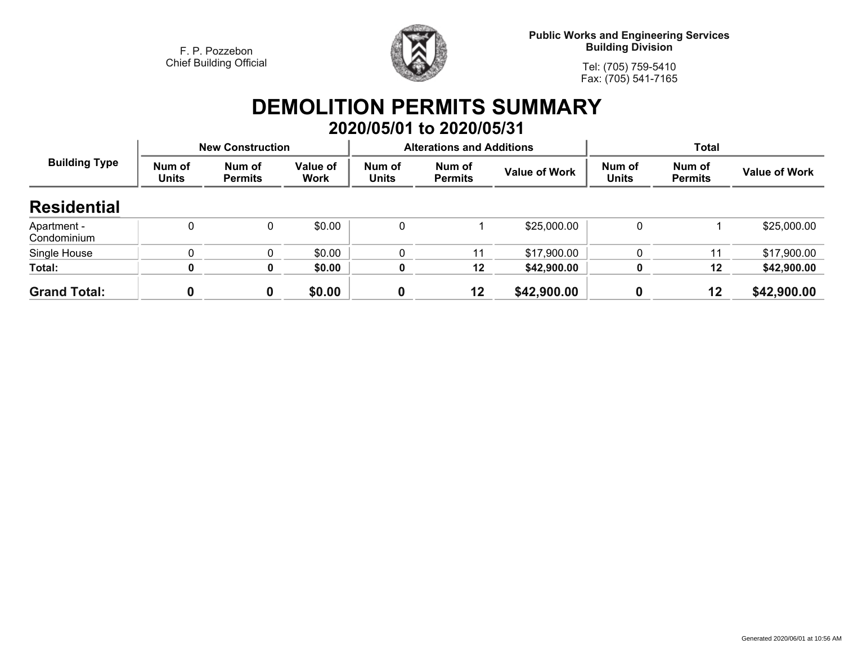

**Public Works and Engineering Services Building Division**

**Tel: (705) 759-5410Fax: (705) 541-7165**

## **DEMOLITION PERMITS SUMMARY 2020/05/01 to 2020/05/31**

| <b>Building Type</b>       | <b>New Construction</b> |                          |                         |                        | <b>Alterations and Additions</b> |                      | <b>Total</b>           |                          |                      |  |
|----------------------------|-------------------------|--------------------------|-------------------------|------------------------|----------------------------------|----------------------|------------------------|--------------------------|----------------------|--|
|                            | Num of<br><b>Units</b>  | Num of<br><b>Permits</b> | Value of<br><b>Work</b> | Num of<br><b>Units</b> | Num of<br><b>Permits</b>         | <b>Value of Work</b> | Num of<br><b>Units</b> | Num of<br><b>Permits</b> | <b>Value of Work</b> |  |
| <b>Residential</b>         |                         |                          |                         |                        |                                  |                      |                        |                          |                      |  |
| Apartment -<br>Condominium | $\Omega$                | $\mathbf{0}$             | \$0.00                  | 0                      |                                  | \$25,000.00          | 0                      |                          | \$25,000.00          |  |
| Single House               |                         | $\mathbf{0}$             | \$0.00                  | 0                      | 11                               | \$17,900.00          | 0                      | 11                       | \$17,900.00          |  |
| Total:                     | 0                       | 0                        | \$0.00                  | $\mathbf 0$            | 12                               | \$42,900.00          | 0                      | 12                       | \$42,900.00          |  |
| <b>Grand Total:</b>        | Λ                       | 0                        | \$0.00                  |                        | 12                               | \$42,900.00          |                        | 12                       | \$42,900.00          |  |